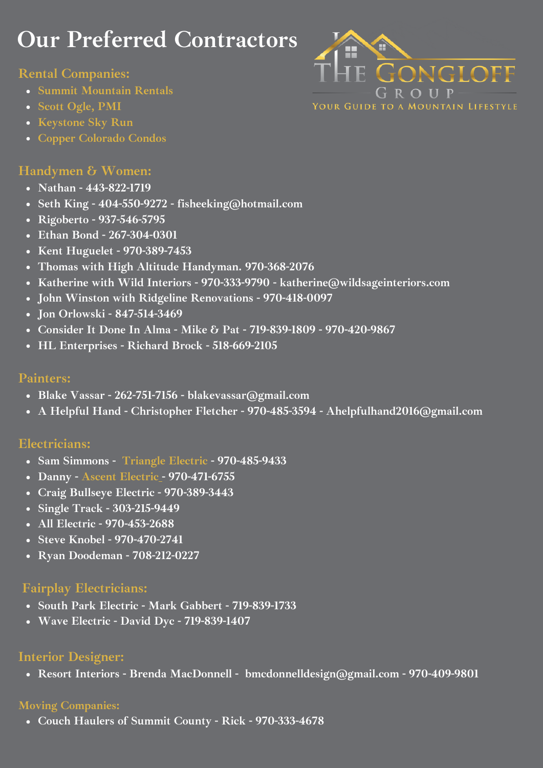# **Our Preferred Contractors**

#### **Rental Companies:**

- **Summit [Mountain](https://summitrentals.com/) Rentals**
- **Scott [Ogle,](https://www.breckenridgevacationrentalmanagement.net/contact) PMI**
- **[Keystone](https://keystone.skyrun.com/) Sky Run**
- **Copper [Colorado](https://www.coppercoloradocondos.com/) Condo[s](https://www.coppercoloradocondos.com/)**

## **Handymen & Women:**

- **Nathan - 443-822-1719**
- **Seth King - 404-550-9272 - fisheeking@hotmail.com**
- **Rigoberto - 937-546-5795**
- **Ethan Bond - 267-304-0301**
- **Kent Huguelet - 970-389-7453**
- **Thomas with High Altitude Handyman. 970-368-2076**
- **Katherine with Wild Interiors - 970-333-9790 - katherine@wildsageinteriors.com**
- **John Winston with Ridgeline Renovations - 970-418-0097**
- **Jon Orlowski - 847-514-3469**
- **Consider It Done In Alma - Mike & Pat - 719-839-1809 - 970-420-9867**
- **HL Enterprises - Richard Brock - 518-669-2105**

#### **Painters:**

- **Blake Vassar - 262-751-7156 - blakevassar@gmail.com**
- **A Helpful Hand - Christopher Fletcher - 970-485-3594 - Ahelpfulhand2016@gmail.com**

## **Electricians:**

- **Sam Simmons - [Triangle](http://triangleelect.com/) Electric - 970-485-9433**
- **Danny - Ascent [Electric](https://www.ascentelectricinc.com/) - 970-471-6755**
- **Craig Bullseye Electric - 970-389-3443**
- **Single Track - 303-215-9449**
- **All Electric - 970-453-2688**
- **Steve Knobel - 970-470-2741**
- **Ryan Doodeman - 708-212-0227**

#### **Fairplay Electricians:**

- **South Park Electric - Mark Gabbert - 719-839-1733**
- **Wave Electric - David Dyc - 719-839-1407**

#### **Interior Designer:**

**Resort Interiors - Brenda MacDonnell - bmcdonnelldesign@gmail.com - 970-409-9801**

# **Moving Companies:**

**Couch Haulers of Summit County - Rick - 970-333-4678**

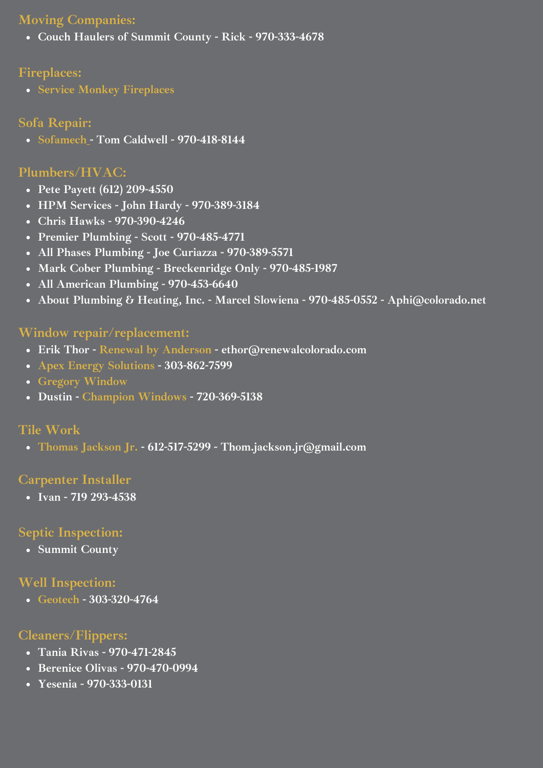#### **Moving Companies:**

**Couch Haulers of Summit County - Rick - 970-333-4678**

## **Fireplaces:**

**Service Monkey [Fireplaces](https://www.servicemonkeyfireplace.com/products-n-services)**

# **Sofa Repair:**

**[Sofamech](https://www.sofamech.com/) - Tom Caldwell - 970-418-8144**

# **Plumbers/HVAC:**

- **Pete Payett (612) 209-4550**
- **HPM Services - John Hardy - 970-389-3184**
- **Chris Hawks - 970-390-4246**
- **Premier Plumbing - Scott - 970-485-4771**
- **All Phases Plumbing - Joe Curiazza - 970-389-5571**
- **Mark Cober Plumbing - Breckenridge Only - 970-485-1987**
- **All American Plumbing - 970-453-6640**
- **About Plumbing & Heating, Inc. - Marcel Slowiena - 970-485-0552 - [Aphi@colorado.net](mailto:Aphi@colorado.net)**

## **Window repair/replacement:**

- **Erik Thor - Renewal by [Anderson](https://www.windowsdoors.com/?brand=colorado&keyword=renewal+by+anderson&gclid=Cj0KCQiA0rSABhDlARIsAJtjfCfTHkTpijCpfgd3z5Tg3jj4Qbm79DRklV7w9yMyMxn_nfaE-wcQMucaAqOPEALw_wcB) - ethor@renewalcolorado.com**
- **Apex Energy [Solutions](http://www.apexenergygroup.com/) - 303-862-7599**
- **Gregory [Window](http://www.gregorydw.com/)**
- **Dustin - [Champion](https://www.championwindow.com/Denver/?utm_source=google&utm_medium=organic&utm_campaign=gmb_denver_localpage) Windows - 720-369-5138**

# **Tile Work**

**[Thomas](http://www.tjtilestone.com/) Jackson Jr. - 612-517-5299 - Thom.jackson.jr@gmail.com**

## **Carpenter Installer**

**Ivan - 719 293-4538**

# **Septic Inspection:**

**Summit County**

# **Well Inspection:**

**[Geotech](http://www.geotechenv.com/) - 303-320-4764**

# **Cleaners/Flippers:**

- **Tania Rivas - 970-471-2845**
- **Berenice Olivas - 970-470-0994**
- **Yesenia - 970-333-0131**